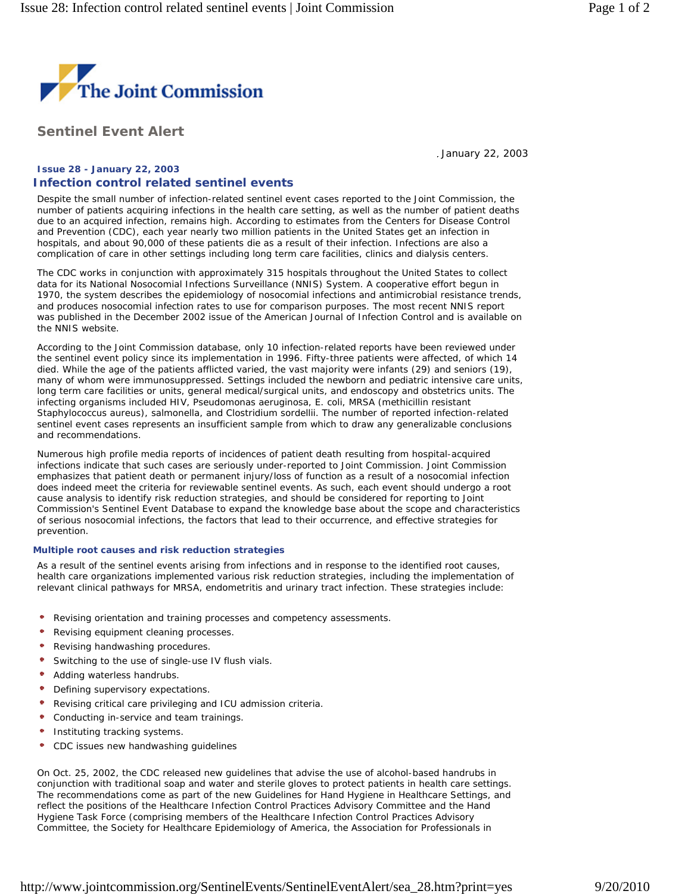

**Sentinel Event Alert** 

January 22, 2003

## **Issue 28 - January 22, 2003 Infection control related sentinel events**

Despite the small number of infection-related sentinel event cases reported to the Joint Commission, the number of patients acquiring infections in the health care setting, as well as the number of patient deaths due to an acquired infection, remains high. According to estimates from the Centers for Disease Control and Prevention (CDC), each year nearly two million patients in the United States get an infection in hospitals, and about 90,000 of these patients die as a result of their infection. Infections are also a complication of care in other settings including long term care facilities, clinics and dialysis centers.

The CDC works in conjunction with approximately 315 hospitals throughout the United States to collect data for its National Nosocomial Infections Surveillance (NNIS) System. A cooperative effort begun in 1970, the system describes the epidemiology of nosocomial infections and antimicrobial resistance trends, and produces nosocomial infection rates to use for comparison purposes. The most recent NNIS report was published in the December 2002 issue of the *American Journal of Infection Control* and is available on the NNIS website.

According to the Joint Commission database, only 10 infection-related reports have been reviewed under the sentinel event policy since its implementation in 1996. Fifty-three patients were affected, of which 14 died. While the age of the patients afflicted varied, the vast majority were infants (29) and seniors (19), many of whom were immunosuppressed. Settings included the newborn and pediatric intensive care units, long term care facilities or units, general medical/surgical units, and endoscopy and obstetrics units. The infecting organisms included *HIV, Pseudomonas aeruginosa, E. coli, MRSA* (methicillin resistant *Staphylococcus aureus*), salmonella, and Clostridium sordellii. The number of reported infection-related sentinel event cases represents an insufficient sample from which to draw any generalizable conclusions and recommendations.

Numerous high profile media reports of incidences of patient death resulting from hospital-acquired infections indicate that such cases are seriously under-reported to Joint Commission. Joint Commission emphasizes that patient death or permanent injury/loss of function as a result of a nosocomial infection does indeed meet the criteria for reviewable sentinel events. As such, each event should undergo a root cause analysis to identify risk reduction strategies, and should be considered for reporting to Joint Commission's Sentinel Event Database to expand the knowledge base about the scope and characteristics of serious nosocomial infections, the factors that lead to their occurrence, and effective strategies for prevention.

## **Multiple root causes and risk reduction strategies**

As a result of the sentinel events arising from infections and in response to the identified root causes, health care organizations implemented various risk reduction strategies, including the implementation of relevant clinical pathways for MRSA, endometritis and urinary tract infection. These strategies include:

- $\bullet$ Revising orientation and training processes and competency assessments.
- Revising equipment cleaning processes.
- Revising handwashing procedures.
- Switching to the use of single-use IV flush vials.
- Adding waterless handrubs.
- Defining supervisory expectations.
- Revising critical care privileging and ICU admission criteria.
- Conducting in-service and team trainings.
- Instituting tracking systems.
- CDC issues new handwashing guidelines

On Oct. 25, 2002, the CDC released new guidelines that advise the use of alcohol-based handrubs in conjunction with traditional soap and water and sterile gloves to protect patients in health care settings. The recommendations come as part of the new *Guidelines for Hand Hygiene in Healthcare Settings*, and reflect the positions of the Healthcare Infection Control Practices Advisory Committee and the Hand Hygiene Task Force (comprising members of the Healthcare Infection Control Practices Advisory Committee, the Society for Healthcare Epidemiology of America, the Association for Professionals in